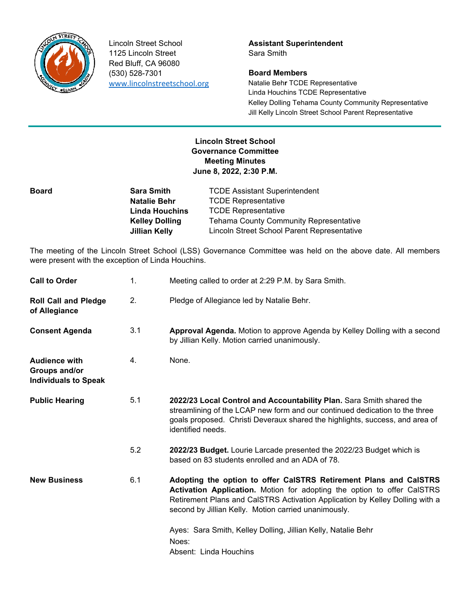

1125 Lincoln Street Sara Smith Red Bluff, CA 96080 (530) 528-7301 **Board Members**

Lincoln Street School **Assistant Superintendent**

www.lincolnstreetschool.org Natalie Beh**r** TCDE Representative Linda Houchins TCDE Representative Kelley Dolling Tehama County Community Representative Jill Kelly Lincoln Street School Parent Representative

## **Lincoln Street School Governance Committee Meeting Minutes June 8, 2022, 2:30 P.M.**

| <b>Sara Smith</b>     | <b>TCDE Assistant Superintendent</b>        |
|-----------------------|---------------------------------------------|
| <b>Natalie Behr</b>   | <b>TCDE Representative</b>                  |
| <b>Linda Houchins</b> | <b>TCDE Representative</b>                  |
| <b>Kelley Dolling</b> | Tehama County Community Representative      |
| Jillian Kelly         | Lincoln Street School Parent Representative |
|                       |                                             |

The meeting of the Lincoln Street School (LSS) Governance Committee was held on the above date. All members were present with the exception of Linda Houchins.

| <b>Call to Order</b>                                                 | 1.  | Meeting called to order at 2:29 P.M. by Sara Smith.                                                                                                                                                                                                                                  |
|----------------------------------------------------------------------|-----|--------------------------------------------------------------------------------------------------------------------------------------------------------------------------------------------------------------------------------------------------------------------------------------|
| <b>Roll Call and Pledge</b><br>of Allegiance                         | 2.  | Pledge of Allegiance led by Natalie Behr.                                                                                                                                                                                                                                            |
| <b>Consent Agenda</b>                                                | 3.1 | Approval Agenda. Motion to approve Agenda by Kelley Dolling with a second<br>by Jillian Kelly. Motion carried unanimously.                                                                                                                                                           |
| <b>Audience with</b><br>Groups and/or<br><b>Individuals to Speak</b> | 4.  | None.                                                                                                                                                                                                                                                                                |
| <b>Public Hearing</b>                                                | 5.1 | 2022/23 Local Control and Accountability Plan. Sara Smith shared the<br>streamlining of the LCAP new form and our continued dedication to the three<br>goals proposed. Christi Deveraux shared the highlights, success, and area of<br>identified needs.                             |
|                                                                      | 5.2 | 2022/23 Budget. Lourie Larcade presented the 2022/23 Budget which is<br>based on 83 students enrolled and an ADA of 78.                                                                                                                                                              |
| <b>New Business</b>                                                  | 6.1 | Adopting the option to offer CalSTRS Retirement Plans and CalSTRS<br>Activation Application. Motion for adopting the option to offer CalSTRS<br>Retirement Plans and CalSTRS Activation Application by Kelley Dolling with a<br>second by Jillian Kelly. Motion carried unanimously. |
|                                                                      |     | Ayes: Sara Smith, Kelley Dolling, Jillian Kelly, Natalie Behr<br>Noes:<br>Absent: Linda Houchins                                                                                                                                                                                     |